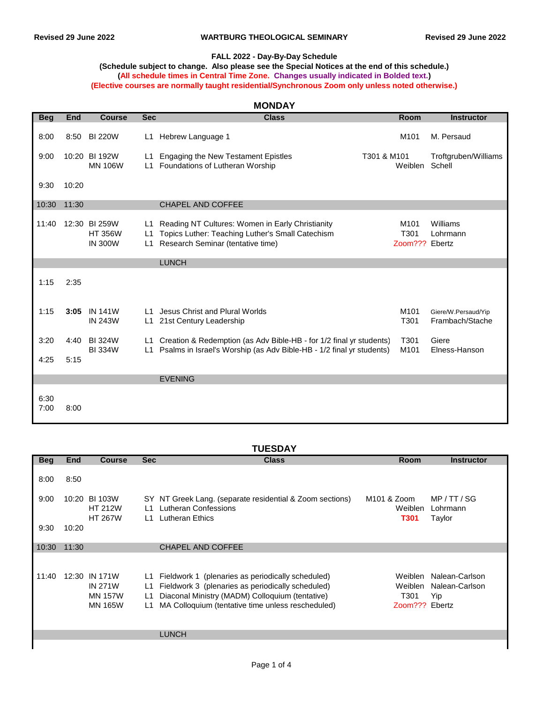### **FALL 2022 - Day-By-Day Schedule**

#### **(Schedule subject to change. Also please see the Special Notices at the end of this schedule.) (All schedule times in Central Time Zone. Changes usually indicated in Bolded text.) (Elective courses are normally taught residential/Synchronous Zoom only unless noted otherwise.)**

| <b>MONDAY</b> |       |                                                   |                |                                                                                                                                             |             |                                |                                        |  |
|---------------|-------|---------------------------------------------------|----------------|---------------------------------------------------------------------------------------------------------------------------------------------|-------------|--------------------------------|----------------------------------------|--|
| <b>Beg</b>    | End   | <b>Course</b>                                     | <b>Sec</b>     | <b>Class</b>                                                                                                                                |             | <b>Room</b>                    | <b>Instructor</b>                      |  |
| 8:00          | 8:50  | <b>BI 220W</b>                                    | L1             | Hebrew Language 1                                                                                                                           |             | M <sub>101</sub>               | M. Persaud                             |  |
| 9:00          |       | 10:20 BI 192W<br><b>MN 106W</b>                   | L1<br>L1       | <b>Engaging the New Testament Epistles</b><br>Foundations of Lutheran Worship                                                               | T301 & M101 | Weiblen                        | Troftgruben/Williams<br>Schell         |  |
| 9:30          | 10:20 |                                                   |                |                                                                                                                                             |             |                                |                                        |  |
| 10:30         | 11:30 |                                                   |                | <b>CHAPEL AND COFFEE</b>                                                                                                                    |             |                                |                                        |  |
| 11:40         |       | 12:30 BI 259W<br><b>HT 356W</b><br><b>IN 300W</b> | L1<br>L1<br>L1 | Reading NT Cultures: Women in Early Christianity<br>Topics Luther: Teaching Luther's Small Catechism<br>Research Seminar (tentative time)   |             | M101<br>T301<br>Zoom??? Ebertz | Williams<br>Lohrmann                   |  |
|               |       |                                                   |                | <b>LUNCH</b>                                                                                                                                |             |                                |                                        |  |
| 1:15          | 2:35  |                                                   |                |                                                                                                                                             |             |                                |                                        |  |
| 1:15          | 3:05  | <b>IN 141W</b><br><b>IN 243W</b>                  | L1<br>L1       | Jesus Christ and Plural Worlds<br>21st Century Leadership                                                                                   |             | M <sub>101</sub><br>T301       | Giere/W.Persaud/Yip<br>Frambach/Stache |  |
| 3:20          | 4:40  | <b>BI324W</b><br><b>BI334W</b>                    | L1<br>L1       | Creation & Redemption (as Adv Bible-HB - for 1/2 final yr students)<br>Psalms in Israel's Worship (as Adv Bible-HB - 1/2 final yr students) |             | T301<br>M101                   | Giere<br>Elness-Hanson                 |  |
| 4:25          | 5:15  |                                                   |                |                                                                                                                                             |             |                                |                                        |  |
|               |       |                                                   |                | <b>EVENING</b>                                                                                                                              |             |                                |                                        |  |
| 6:30<br>7:00  | 8:00  |                                                   |                |                                                                                                                                             |             |                                |                                        |  |

### **TUESDAY**

| <b>Beg</b> | <b>End</b> | <b>Course</b>                                                       | <b>Sec</b>                           | <b>Class</b>                                                                                                                                                                                                   | <b>Room</b>                                       | <b>Instructor</b>                                 |
|------------|------------|---------------------------------------------------------------------|--------------------------------------|----------------------------------------------------------------------------------------------------------------------------------------------------------------------------------------------------------------|---------------------------------------------------|---------------------------------------------------|
| 8:00       | 8:50       |                                                                     |                                      |                                                                                                                                                                                                                |                                                   |                                                   |
| 9:00       |            | 10:20 BI 103W<br><b>HT 212W</b><br><b>HT 267W</b>                   | $\overline{1}$ 1<br>$\overline{1}$ 1 | SY NT Greek Lang. (separate residential & Zoom sections)<br>Lutheran Confessions<br>Lutheran Ethics                                                                                                            | M <sub>101</sub> & Zoom<br>Weiblen<br><b>T301</b> | MP / T T / SG<br>Lohrmann<br>Taylor               |
| 9:30       | 10:20      |                                                                     |                                      |                                                                                                                                                                                                                |                                                   |                                                   |
| 10:30      | 11:30      |                                                                     |                                      | <b>CHAPEL AND COFFEE</b>                                                                                                                                                                                       |                                                   |                                                   |
| 11:40      |            | 12:30 IN 171W<br><b>IN 271W</b><br><b>MN 157W</b><br><b>MN 165W</b> | L1<br>L1<br>L1<br>L1                 | Fieldwork 1 (plenaries as periodically scheduled)<br>Fieldwork 3 (plenaries as periodically scheduled)<br>Diaconal Ministry (MADM) Colloquium (tentative)<br>MA Colloquium (tentative time unless rescheduled) | Weiblen<br>Weiblen<br>T301<br>Zoom???             | Nalean-Carlson<br>Nalean-Carlson<br>Yip<br>Ebertz |
|            |            |                                                                     |                                      | <b>LUNCH</b>                                                                                                                                                                                                   |                                                   |                                                   |
|            |            |                                                                     |                                      |                                                                                                                                                                                                                |                                                   |                                                   |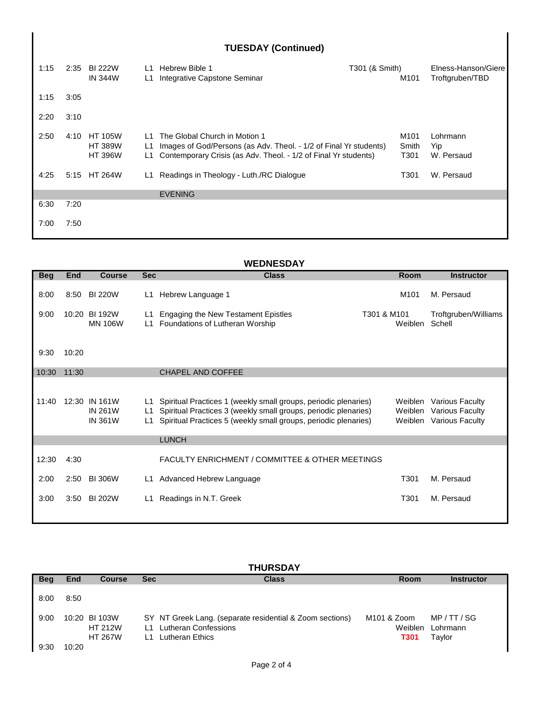| <b>TUESDAY (Continued)</b> |      |                                                    |                |                                                                                                                                                                       |                |                                   |                                        |  |
|----------------------------|------|----------------------------------------------------|----------------|-----------------------------------------------------------------------------------------------------------------------------------------------------------------------|----------------|-----------------------------------|----------------------------------------|--|
| 1:15                       |      | 2:35 BI 222W<br><b>IN 344W</b>                     | L1<br>L1       | Hebrew Bible 1<br>Integrative Capstone Seminar                                                                                                                        | T301 (& Smith) | M <sub>101</sub>                  | Elness-Hanson/Giere<br>Troftgruben/TBD |  |
| 1:15                       | 3:05 |                                                    |                |                                                                                                                                                                       |                |                                   |                                        |  |
| 2:20                       | 3:10 |                                                    |                |                                                                                                                                                                       |                |                                   |                                        |  |
| 2:50                       | 4:10 | <b>HT 105W</b><br><b>HT 389W</b><br><b>HT 396W</b> | 11<br>L1<br>L1 | The Global Church in Motion 1<br>Images of God/Persons (as Adv. Theol. - 1/2 of Final Yr students)<br>Contemporary Crisis (as Adv. Theol. - 1/2 of Final Yr students) |                | M <sub>101</sub><br>Smith<br>T301 | Lohrmann<br>Yip<br>W. Persaud          |  |
| 4:25                       | 5:15 | <b>HT 264W</b>                                     | L1.            | Readings in Theology - Luth./RC Dialogue                                                                                                                              |                | T301                              | W. Persaud                             |  |
|                            |      |                                                    |                | <b>EVENING</b>                                                                                                                                                        |                |                                   |                                        |  |
| 6:30                       | 7:20 |                                                    |                |                                                                                                                                                                       |                |                                   |                                        |  |
| 7:00                       | 7:50 |                                                    |                |                                                                                                                                                                       |                |                                   |                                        |  |

# **WEDNESDAY**

| <b>Beg</b> | <b>End</b> | <b>Course</b>                                     | <b>Sec</b>      | <b>Class</b>                                                                                                                                                                                          | <b>Room</b>            | <b>Instructor</b>                                                           |
|------------|------------|---------------------------------------------------|-----------------|-------------------------------------------------------------------------------------------------------------------------------------------------------------------------------------------------------|------------------------|-----------------------------------------------------------------------------|
| 8:00       | 8:50       | <b>BI 220W</b>                                    | L1              | Hebrew Language 1                                                                                                                                                                                     | M <sub>101</sub>       | M. Persaud                                                                  |
| 9:00       |            | 10:20 BI 192W<br><b>MN 106W</b>                   | L1<br>L1        | <b>Engaging the New Testament Epistles</b><br>Foundations of Lutheran Worship                                                                                                                         | T301 & M101<br>Weiblen | Troftgruben/Williams<br>Schell                                              |
| 9:30       | 10:20      |                                                   |                 |                                                                                                                                                                                                       |                        |                                                                             |
| 10:30      | 11:30      |                                                   |                 | CHAPEL AND COFFEE                                                                                                                                                                                     |                        |                                                                             |
| 11:40      |            | 12:30 IN 161W<br><b>IN 261W</b><br><b>IN 361W</b> | L1<br>L1<br>L1. | Spiritual Practices 1 (weekly small groups, periodic plenaries)<br>Spiritual Practices 3 (weekly small groups, periodic plenaries)<br>Spiritual Practices 5 (weekly small groups, periodic plenaries) | Weiblen<br>Weiblen     | <b>Various Faculty</b><br><b>Various Faculty</b><br>Weiblen Various Faculty |
|            |            |                                                   |                 | <b>LUNCH</b>                                                                                                                                                                                          |                        |                                                                             |
| 12:30      | 4:30       |                                                   |                 | <b>FACULTY ENRICHMENT / COMMITTEE &amp; OTHER MEETINGS</b>                                                                                                                                            |                        |                                                                             |
| 2:00       | 2:50       | <b>BI 306W</b>                                    | L1              | Advanced Hebrew Language                                                                                                                                                                              | T301                   | M. Persaud                                                                  |
| 3:00       | 3:50       | <b>BI 202W</b>                                    | L1              | Readings in N.T. Greek                                                                                                                                                                                | T301                   | M. Persaud                                                                  |

| <b>THURSDAY</b> |            |                                                   |                        |                                                                                                            |                                                   |                                    |  |  |
|-----------------|------------|---------------------------------------------------|------------------------|------------------------------------------------------------------------------------------------------------|---------------------------------------------------|------------------------------------|--|--|
| <b>Beg</b>      | <b>End</b> | <b>Course</b>                                     | <b>Sec</b>             | <b>Class</b>                                                                                               | <b>Room</b>                                       | <b>Instructor</b>                  |  |  |
| 8:00            | 8:50       |                                                   |                        |                                                                                                            |                                                   |                                    |  |  |
| 9:00            |            | 10:20 BI 103W<br><b>HT 212W</b><br><b>HT 267W</b> | $\overline{11}$<br>l 1 | SY NT Greek Lang. (separate residential & Zoom sections)<br><b>Lutheran Confessions</b><br>Lutheran Ethics | M <sub>101</sub> & Zoom<br>Weiblen<br><b>T301</b> | MP / TT / SG<br>Lohrmann<br>Taylor |  |  |
| 9:30            | 10:20      |                                                   |                        |                                                                                                            |                                                   |                                    |  |  |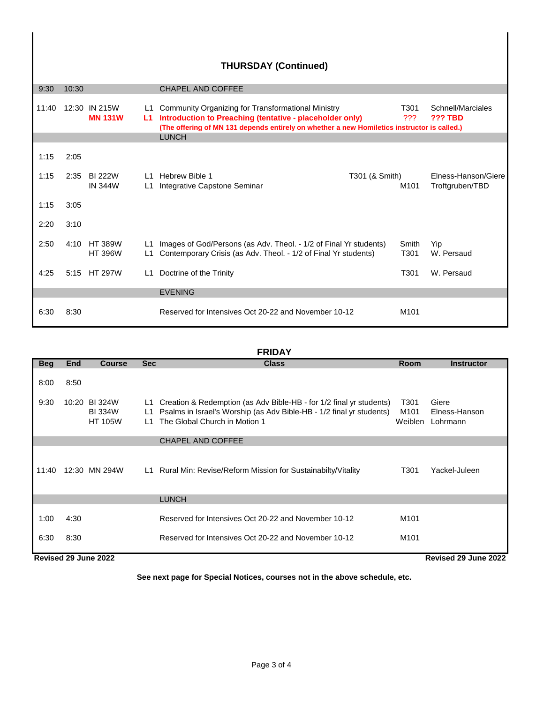| <b>THURSDAY (Continued)</b> |       |                                  |                       |                                                                                                                                                                                                                               |                |                           |                                        |
|-----------------------------|-------|----------------------------------|-----------------------|-------------------------------------------------------------------------------------------------------------------------------------------------------------------------------------------------------------------------------|----------------|---------------------------|----------------------------------------|
| 9:30                        | 10:30 |                                  |                       | <b>CHAPEL AND COFFEE</b>                                                                                                                                                                                                      |                |                           |                                        |
| 11:40                       |       | 12:30 IN 215W<br><b>MN 131W</b>  | L1<br>L1.             | Community Organizing for Transformational Ministry<br>Introduction to Preaching (tentative - placeholder only)<br>(The offering of MN 131 depends entirely on whether a new Homiletics instructor is called.)<br><b>LUNCH</b> |                | T301<br>???               | Schnell/Marciales<br><b>??? TBD</b>    |
|                             |       |                                  |                       |                                                                                                                                                                                                                               |                |                           |                                        |
| 1:15                        | 2:05  |                                  |                       |                                                                                                                                                                                                                               |                |                           |                                        |
| 1:15                        | 2:35  | BI 222W<br><b>IN 344W</b>        | $\overline{11}$<br>L1 | Hebrew Bible 1<br>Integrative Capstone Seminar                                                                                                                                                                                | T301 (& Smith) | M <sub>101</sub>          | Elness-Hanson/Giere<br>Troftgruben/TBD |
| 1:15                        | 3:05  |                                  |                       |                                                                                                                                                                                                                               |                |                           |                                        |
| 2:20                        | 3:10  |                                  |                       |                                                                                                                                                                                                                               |                |                           |                                        |
| 2:50                        | 4:10  | <b>HT 389W</b><br><b>HT 396W</b> | L1<br>L1              | Images of God/Persons (as Adv. Theol. - 1/2 of Final Yr students)<br>Contemporary Crisis (as Adv. Theol. - 1/2 of Final Yr students)                                                                                          |                | Smith<br>T <sub>301</sub> | Yip<br>W. Persaud                      |
| 4:25                        |       | 5:15 HT 297W                     | L1                    | Doctrine of the Trinity                                                                                                                                                                                                       |                | T301                      | W. Persaud                             |
|                             |       |                                  |                       | <b>EVENING</b>                                                                                                                                                                                                                |                |                           |                                        |
| 6:30                        | 8:30  |                                  |                       | Reserved for Intensives Oct 20-22 and November 10-12                                                                                                                                                                          |                | M <sub>101</sub>          |                                        |

# **FRIDAY**

| <b>Beg</b>   | End                                          | <b>Course</b>                                    | <b>Sec</b>                   | <b>Class</b>                                                                                                                                                                 | <b>Room</b>                          | <b>Instructor</b>                  |  |
|--------------|----------------------------------------------|--------------------------------------------------|------------------------------|------------------------------------------------------------------------------------------------------------------------------------------------------------------------------|--------------------------------------|------------------------------------|--|
| 8:00         | 8:50                                         |                                                  |                              |                                                                                                                                                                              |                                      |                                    |  |
| 9:30         |                                              | 10:20 BI 324W<br><b>BI334W</b><br><b>HT 105W</b> | L1.<br>L1<br>$\overline{11}$ | Creation & Redemption (as Adv Bible-HB - for 1/2 final yr students)<br>Psalms in Israel's Worship (as Adv Bible-HB - 1/2 final yr students)<br>The Global Church in Motion 1 | T301<br>M <sub>101</sub><br>Weiblen  | Giere<br>Elness-Hanson<br>Lohrmann |  |
|              |                                              |                                                  |                              | <b>CHAPEL AND COFFEE</b>                                                                                                                                                     |                                      |                                    |  |
| 11:40        |                                              | 12:30 MN 294W                                    |                              | L1 Rural Min: Revise/Reform Mission for Sustainabilty/Vitality                                                                                                               | T301                                 | Yackel-Juleen                      |  |
|              |                                              |                                                  |                              | <b>LUNCH</b>                                                                                                                                                                 |                                      |                                    |  |
| 1:00<br>6:30 | 4:30<br>8:30                                 |                                                  |                              | Reserved for Intensives Oct 20-22 and November 10-12<br>Reserved for Intensives Oct 20-22 and November 10-12                                                                 | M <sub>101</sub><br>M <sub>101</sub> |                                    |  |
|              |                                              |                                                  |                              |                                                                                                                                                                              |                                      |                                    |  |
|              | Revised 29 June 2022<br>Revised 29 June 2022 |                                                  |                              |                                                                                                                                                                              |                                      |                                    |  |

**See next page for Special Notices, courses not in the above schedule, etc.**